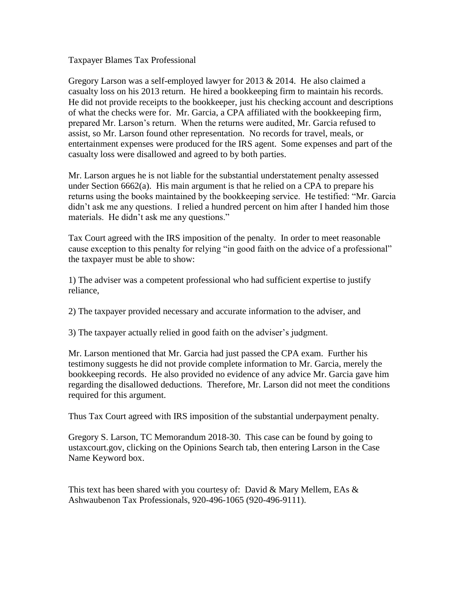Taxpayer Blames Tax Professional

Gregory Larson was a self-employed lawyer for 2013  $& 2014$ . He also claimed a casualty loss on his 2013 return. He hired a bookkeeping firm to maintain his records. He did not provide receipts to the bookkeeper, just his checking account and descriptions of what the checks were for. Mr. Garcia, a CPA affiliated with the bookkeeping firm, prepared Mr. Larson's return. When the returns were audited, Mr. Garcia refused to assist, so Mr. Larson found other representation. No records for travel, meals, or entertainment expenses were produced for the IRS agent. Some expenses and part of the casualty loss were disallowed and agreed to by both parties.

Mr. Larson argues he is not liable for the substantial understatement penalty assessed under Section 6662(a). His main argument is that he relied on a CPA to prepare his returns using the books maintained by the bookkeeping service. He testified: "Mr. Garcia didn't ask me any questions. I relied a hundred percent on him after I handed him those materials. He didn't ask me any questions."

Tax Court agreed with the IRS imposition of the penalty. In order to meet reasonable cause exception to this penalty for relying "in good faith on the advice of a professional" the taxpayer must be able to show:

1) The adviser was a competent professional who had sufficient expertise to justify reliance,

2) The taxpayer provided necessary and accurate information to the adviser, and

3) The taxpayer actually relied in good faith on the adviser's judgment.

Mr. Larson mentioned that Mr. Garcia had just passed the CPA exam. Further his testimony suggests he did not provide complete information to Mr. Garcia, merely the bookkeeping records. He also provided no evidence of any advice Mr. Garcia gave him regarding the disallowed deductions. Therefore, Mr. Larson did not meet the conditions required for this argument.

Thus Tax Court agreed with IRS imposition of the substantial underpayment penalty.

Gregory S. Larson, TC Memorandum 2018-30. This case can be found by going to ustaxcourt.gov, clicking on the Opinions Search tab, then entering Larson in the Case Name Keyword box.

This text has been shared with you courtesy of: David & Mary Mellem, EAs & Ashwaubenon Tax Professionals, 920-496-1065 (920-496-9111).